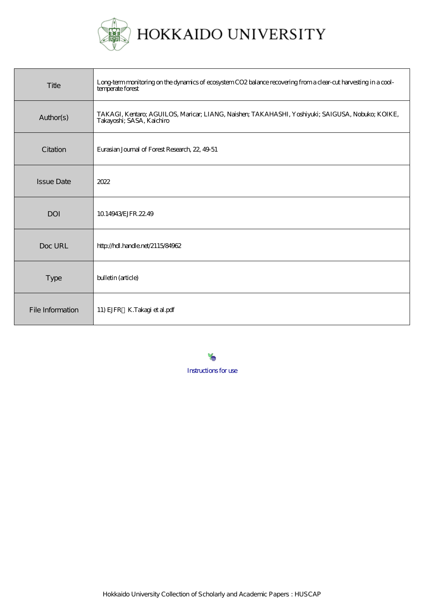

| Title             | Long term monitoring on the dynamics of ecosystem CO2 balance recovering from a clear-cut harvesting in a cool-<br>temperate forest |
|-------------------|-------------------------------------------------------------------------------------------------------------------------------------|
| Author(s)         | TAKAGI, Kentaro; AGUILOS, Maricar; LIANG, Naisher; TAKAHASHI, Yoshiyuki; SAIGUSA, Nobuko; KOIKE,<br>Takayoshi; SASA, Kaichiro       |
| Citation          | Eurasian Journal of Forest Research, 22, 49-51                                                                                      |
| <b>Issue Date</b> | 2022                                                                                                                                |
| <b>DOI</b>        | 10.14943 ÆJFR, 22.49                                                                                                                |
| Doc URL           | http://hdl.handle.net/2115/84962                                                                                                    |
| <b>Type</b>       | bulletin (article)                                                                                                                  |
| File Information  | 11) EJFR K.Takagi et al.pdf                                                                                                         |

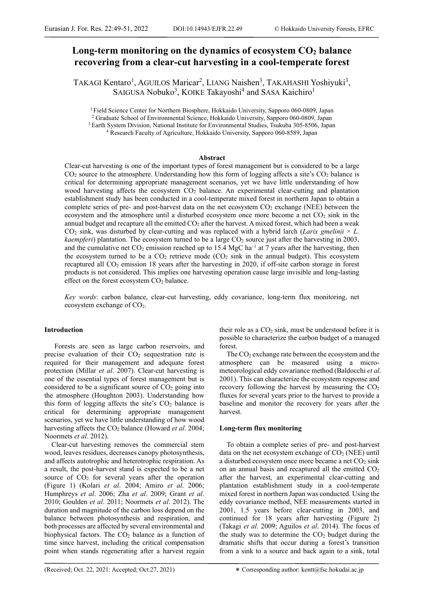# Long-term monitoring on the dynamics of ecosystem  $CO<sub>2</sub>$  balance **recovering from a clear-cut harvesting in a cool-temperate forest**

TAKAGI Kentaro<sup>1</sup>, AGUILOS Maricar<sup>2</sup>, LIANG Naishen<sup>3</sup>, TAKAHASHI Yoshiyuki<sup>3</sup>, SAIGUSA Nobuko<sup>3</sup>, KOIKE Takayoshi<sup>4</sup> and SASA Kaichiro<sup>1</sup>

<sup>1</sup> Field Science Center for Northern Biosphere, Hokkaido University, Sapporo 060-0809, Japan<sup>2</sup> Graduate School of Environmental Science, Hokkaido University, Sapporo 060-0809, Japan<sup>2</sup> Graduate School of Environmental Sc

### **Abstract**

Clear-cut harvesting is one of the important types of forest management but is considered to be a large  $CO<sub>2</sub>$  source to the atmosphere. Understanding how this form of logging affects a site's  $CO<sub>2</sub>$  balance is critical for determining appropriate management scenarios, yet we have little understanding of how wood harvesting affects the ecosystem CO<sub>2</sub> balance. An experimental clear-cutting and plantation establishment study has been conducted in a cool-temperate mixed forest in northern Japan to obtain a complete series of pre- and post-harvest data on the net ecosystem CO<sub>2</sub> exchange (NEE) between the ecosystem and the atmosphere until a disturbed ecosystem once more become a net  $CO<sub>2</sub>$  sink in the annual budget and recapture all the emitted  $CO<sub>2</sub>$  after the harvest. A mixed forest, which had been a weak  $CO<sub>2</sub>$  sink, was disturbed by clear-cutting and was replaced with a hybrid larch (*Larix gmelinii*  $\times$  *L*. *kaempferi*) plantation. The ecosystem turned to be a large  $CO<sub>2</sub>$  source just after the harvesting in 2003, and the cumulative net  $CO_2$  emission reached up to 15.4 MgC ha<sup>-1</sup> at 7 years after the harvesting, then the ecosystem turned to be a  $CO<sub>2</sub>$  retrieve mode ( $CO<sub>2</sub>$  sink in the annual budget). This ecosystem recaptured all CO<sub>2</sub> emission 18 years after the harvesting in 2020, if off-site carbon storage in forest products is not considered. This implies one harvesting operation cause large invisible and long-lasting effect on the forest ecosystem  $CO<sub>2</sub>$  balance.

*Key words*: carbon balance, clear-cut harvesting, eddy covariance, long-term flux monitoring, net ecosystem exchange of CO<sub>2</sub>.

# **Introduction**

Forests are seen as large carbon reservoirs, and precise evaluation of their  $CO<sub>2</sub>$  sequestration rate is required for their management and adequate forest protection (Millar *et al*. 2007). Clear-cut harvesting is one of the essential types of forest management but is considered to be a significant source of  $CO<sub>2</sub>$  going into the atmosphere (Houghton 2003). Understanding how this form of logging affects the site's  $CO<sub>2</sub>$  balance is critical for determining appropriate management scenarios, yet we have little understanding of how wood harvesting affects the CO<sub>2</sub> balance (Howard *et al.* 2004; Noormets *et al*. 2012).

Clear-cut harvesting removes the commercial stem wood, leaves residues, decreases canopy photosynthesis, and affects autotrophic and heterotrophic respiration. As a result, the post-harvest stand is expected to be a net source of  $CO<sub>2</sub>$  for several years after the operation (Figure 1) (Kolari *et al*. 2004; Amiro *et al*. 2006; Humphreys *et al*. 2006; Zha *et al*. 2009; Grant *et al*. 2010; Goulden *et al*. 2011; Noormets *et al*. 2012). The duration and magnitude of the carbon loss depend on the balance between photosynthesis and respiration, and both processes are affected by several environmental and biophysical factors. The  $CO<sub>2</sub>$  balance as a function of time since harvest, including the critical compensation point when stands regenerating after a harvest regain

their role as a  $CO<sub>2</sub>$  sink, must be understood before it is possible to characterize the carbon budget of a managed forest.

The  $CO<sub>2</sub>$  exchange rate between the ecosystem and the atmosphere can be measured using a micrometeorological eddy covariance method (Baldocchi *et al*. 2001). This can characterize the ecosystem response and recovery following the harvest by measuring the  $CO<sub>2</sub>$ fluxes for several years prior to the harvest to provide a baseline and monitor the recovery for years after the harvest.

# **Long-term flux monitoring**

To obtain a complete series of pre- and post-harvest data on the net ecosystem exchange of  $CO<sub>2</sub>$  (NEE) until a disturbed ecosystem once more became a net  $CO<sub>2</sub>$  sink on an annual basis and recaptured all the emitted  $CO<sub>2</sub>$ after the harvest, an experimental clear-cutting and plantation establishment study in a cool-temperate mixed forest in northern Japan was conducted. Using the eddy covariance method, NEE measurements started in 2001, 1.5 years before clear-cutting in 2003, and continued for 18 years after harvesting (Figure 2) (Takagi *et al*. 2009; Aguilos *et al*. 2014). The focus of the study was to determine the  $CO<sub>2</sub>$  budget during the dramatic shifts that occur during a forest's transition from a sink to a source and back again to a sink, total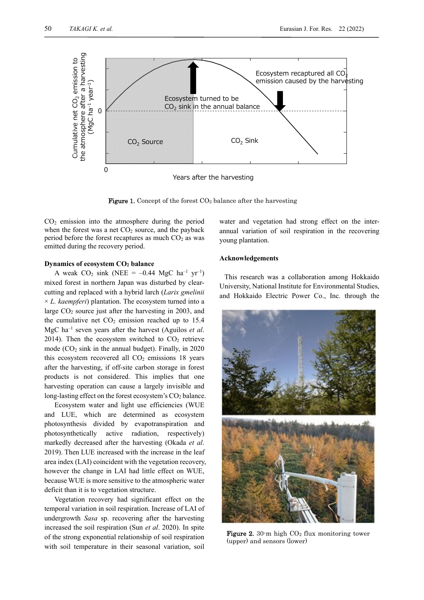-



Years after the harvesting

**Figure 1.** Concept of the forest  $CO<sub>2</sub>$  balance after the harvesting

 $CO<sub>2</sub>$  emission into the atmosphere during the period when the forest was a net  $CO<sub>2</sub>$  source, and the payback period before the forest recaptures as much  $CO<sub>2</sub>$  as was emitted during the recovery period.

## **Dynamics of ecosystem CO2 balance**

A weak  $CO_2$  sink (NEE = -0.44 MgC ha<sup>-1</sup> yr<sup>-1</sup>) mixed forest in northern Japan was disturbed by clearcutting and replaced with a hybrid larch (*Larix gmelinii*  $\times$  *L. kaempferi*) plantation. The ecosystem turned into a large  $CO<sub>2</sub>$  source just after the harvesting in 2003, and the cumulative net  $CO<sub>2</sub>$  emission reached up to 15.4 MgC ha–1 seven years after the harvest (Aguilos *et al*. 2014). Then the ecosystem switched to  $CO<sub>2</sub>$  retrieve mode  $(CO<sub>2</sub> sink in the annual budget)$ . Finally, in 2020 this ecosystem recovered all  $CO<sub>2</sub>$  emissions 18 years after the harvesting, if off-site carbon storage in forest products is not considered. This implies that one harvesting operation can cause a largely invisible and long-lasting effect on the forest ecosystem's  $CO<sub>2</sub>$  balance.

Ecosystem water and light use efficiencies (WUE and LUE, which are determined as ecosystem photosynthesis divided by evapotranspiration and photosynthetically active radiation, respectively) markedly decreased after the harvesting (Okada *et al*. 2019). Then LUE increased with the increase in the leaf area index (LAI) coincident with the vegetation recovery, however the change in LAI had little effect on WUE, because WUE is more sensitive to the atmospheric water deficit than it is to vegetation structure.

Vegetation recovery had significant effect on the temporal variation in soil respiration. Increase of LAI of undergrowth *Sasa* sp. recovering after the harvesting increased the soil respiration (Sun *et al*. 2020). In spite of the strong exponential relationship of soil respiration with soil temperature in their seasonal variation, soil

water and vegetation had strong effect on the interannual variation of soil respiration in the recovering young plantation.

#### **Acknowledgements**

This research was a collaboration among Hokkaido University, National Institute for Environmental Studies, and Hokkaido Electric Power Co., Inc. through the



Figure 2. 30 m high  $CO<sub>2</sub>$  flux monitoring tower (upper) and sensors (lower)